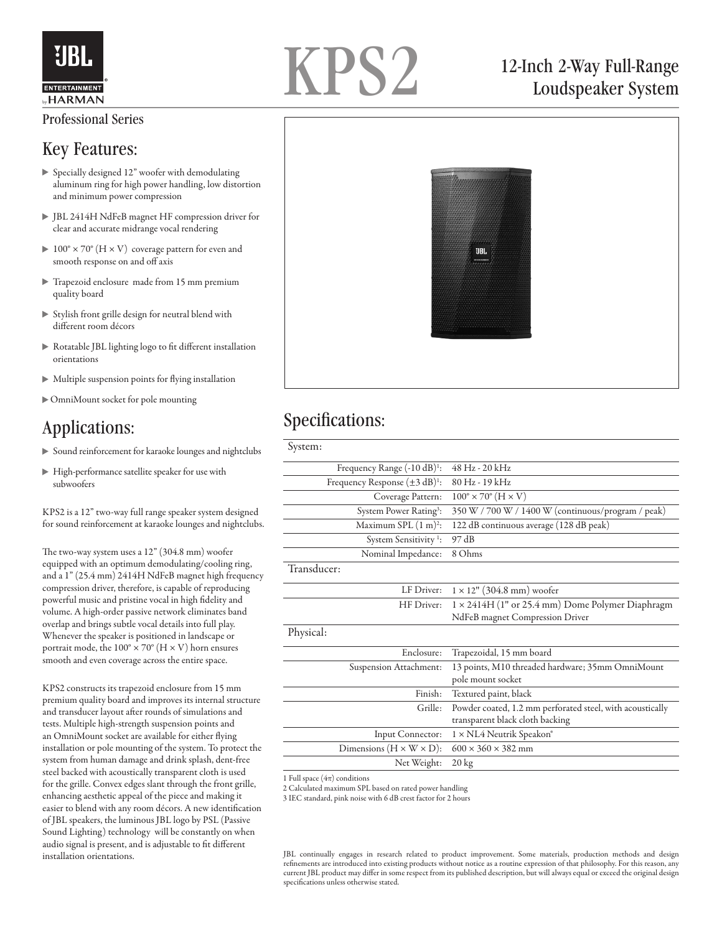

# KPS2

# 12-Inch 2-Way Full-Range Loudspeaker System

#### Professional Series

#### Key Features:

- Specially designed 12" woofer with demodulating aluminum ring for high power handling, low distortion and minimum power compression
- JBL 2414H NdFeB magnet HF compression driver for clear and accurate midrange vocal rendering
- $100^\circ \times 70^\circ$  (H  $\times$  V) coverage pattern for even and smooth response on and off axis
- Trapezoid enclosure made from 15 mm premium quality board
- $\triangleright$  Stylish front grille design for neutral blend with different room décors
- Rotatable JBL lighting logo to fit different installation orientations
- Multiple suspension points for flying installation
- OmniMount socket for pole mounting

# Applications:

- Sound reinforcement for karaoke lounges and nightclubs
- High-performance satellite speaker for use with subwoofers

KPS2 is a 12" two-way full range speaker system designed for sound reinforcement at karaoke lounges and nightclubs.

The two-way system uses a 12" (304.8 mm) woofer equipped with an optimum demodulating/cooling ring, and a 1" (25.4 mm) 2414H NdFeB magnet high frequency compression driver, therefore, is capable of reproducing powerful music and pristine vocal in high fidelity and volume. A high-order passive network eliminates band overlap and brings subtle vocal details into full play. Whenever the speaker is positioned in landscape or portrait mode, the  $100^{\circ} \times 70^{\circ}$  (H  $\times$  V) horn ensures smooth and even coverage across the entire space.

KPS2 constructs its trapezoid enclosure from 15 mm premium quality board and improves its internal structure and transducer layout after rounds of simulations and tests. Multiple high-strength suspension points and an OmniMount socket are available for either flying installation or pole mounting of the system. To protect the system from human damage and drink splash, dent-free steel backed with acoustically transparent cloth is used for the grille. Convex edges slant through the front grille, enhancing aesthetic appeal of the piece and making it easier to blend with any room décors. A new identification of JBL speakers, the luminous JBL logo by PSL (Passive Sound Lighting) technology will be constantly on when audio signal is present, and is adjustable to fit different



# Specifications:

| System:                                                |                                                           |
|--------------------------------------------------------|-----------------------------------------------------------|
| Frequency Range (-10 dB) <sup>1</sup> :                | 48 Hz - 20 kHz                                            |
| Frequency Response $(\pm 3 \text{ dB})$ <sup>1</sup> : | 80 Hz - 19 kHz                                            |
| Coverage Pattern:                                      | $100^\circ \times 70^\circ$ (H $\times$ V)                |
| System Power Rating <sup>3</sup> :                     | 350 W / 700 W / 1400 W (continuous/program / peak)        |
| Maximum SPL $(1 \text{ m})^2$ :                        | 122 dB continuous average (128 dB peak)                   |
| System Sensitivity <sup>1</sup> :                      | 97 dB                                                     |
| Nominal Impedance:                                     | 8 Ohms                                                    |
| Transducer:                                            |                                                           |
| LF Driver:                                             | $1 \times 12$ " (304.8 mm) woofer                         |
| HF Driver:                                             | $1 \times 2414$ H (1" or 25.4 mm) Dome Polymer Diaphragm  |
|                                                        | NdFeB magnet Compression Driver                           |
| Physical:                                              |                                                           |
| Enclosure:                                             | Trapezoidal, 15 mm board                                  |
| Suspension Attachment:                                 | 13 points, M10 threaded hardware; 35mm OmniMount          |
|                                                        | pole mount socket                                         |
| Finish:                                                | Textured paint, black                                     |
| Grille:                                                | Powder coated, 1.2 mm perforated steel, with acoustically |
|                                                        | transparent black cloth backing                           |
| Input Connector:                                       | 1 × NL4 Neutrik Speakon®                                  |
| Dimensions ( $H \times W \times D$ ):                  | $600 \times 360 \times 382$ mm                            |
| Net Weight:                                            | $20 \text{ kg}$                                           |
|                                                        |                                                           |

1 Full space  $(4\pi)$  conditions

2 Calculated maximum SPL based on rated power handling

3 IEC standard, pink noise with 6 dB crest factor for 2 hours

installation orientations. JBL continually engages in research related to product improvement. Some materials, production methods and design refinements are introduced into existing products without notice as a routine expression of that philosophy. For this reason, any current JBL product may differ in some respect from its published description, but will always equal or exceed the original design specifications unless otherwise stated.